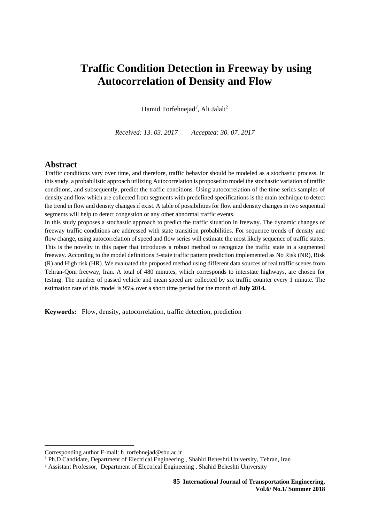# **Traffic Condition Detection in Freeway by using Autocorrelation of Density and Flow**

Hamid Torfehnejad<sup>1</sup>, Ali Jalali<sup>2</sup>

*Received: 13. 03. 2017 Accepted: 30. 07. 2017*

#### **Abstract**

Traffic conditions vary over time, and therefore, traffic behavior should be modeled as a stochastic process. In this study, a probabilistic approach utilizing Autocorrelation is proposed to model the stochastic variation of traffic conditions, and subsequently, predict the traffic conditions. Using autocorrelation of the time series samples of density and flow which are collected from segments with predefined specifications is the main technique to detect the trend in flow and density changes if exist. A table of possibilities for flow and density changes in two sequential segments will help to detect congestion or any other abnormal traffic events.

In this study proposes a stochastic approach to predict the traffic situation in freeway. The dynamic changes of freeway traffic conditions are addressed with state transition probabilities. For sequence trends of density and flow change, using autocorrelation of speed and flow series will estimate the most likely sequence of traffic states. This is the novelty in this paper that introduces a robust method to recognize the traffic state in a segmented freeway. According to the model definitions 3-state traffic pattern prediction implemented as No Risk (NR), Risk (R) and High risk (HR). We evaluated the proposed method using different data sources of real traffic scenes from Tehran-Qom freeway, Iran. A total of 480 minutes, which corresponds to interstate highways, are chosen for testing. The number of passed vehicle and mean speed are collected by six traffic counter every 1 minute. The estimation rate of this model is 95% over a short time period for the month of **July 2014.**

**Keywords:** Flow, density, autocorrelation, traffic detection, prediction

**.** 

Corresponding author E-mail: [h\\_torfehnejad@sbu.ac.ir](mailto:h_torfehnejad@sbu.ac.ir)

<sup>&</sup>lt;sup>1</sup> Ph.D Candidate, Department of Electrical Engineering , Shahid Beheshti University, Tehran, Iran

<sup>&</sup>lt;sup>2</sup> Assistant Professor, Department of Electrical Engineering, Shahid Beheshti University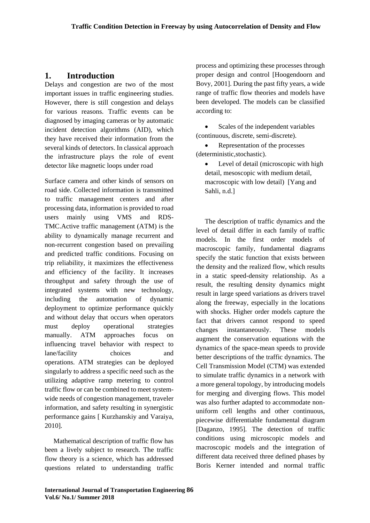## **1. Introduction**

Delays and congestion are two of the most important issues in traffic engineering studies. However, there is still congestion and delays for various reasons. Traffic events can be diagnosed by imaging cameras or by automatic incident detection algorithms (AID), which they have received their information from the several kinds of detectors. In classical approach the infrastructure plays the role of event detector like magnetic loops under road

Surface camera and other kinds of sensors on road side. Collected information is transmitted to traffic management centers and after processing data, information is provided to road users mainly using VMS and RDS-TMC.Active traffic management (ATM) is the ability to dynamically manage recurrent and non-recurrent congestion based on prevailing and predicted traffic conditions. Focusing on trip reliability, it maximizes the effectiveness and efficiency of the facility. It increases throughput and safety through the use of integrated systems with new technology, including the automation of dynamic deployment to optimize performance quickly and without delay that occurs when operators must deploy operational strategies manually. ATM approaches focus on influencing travel behavior with respect to lane/facility choices and operations. ATM strategies can be deployed singularly to address a specific need such as the utilizing adaptive ramp metering to control traffic flow or can be combined to meet systemwide needs of congestion management, traveler information, and safety resulting in synergistic performance gains [ Kurzhanskiy and Varaiya, 2010].

Mathematical description of traffic flow has been a lively subject to research. The traffic flow theory is a science, which has addressed questions related to understanding traffic

process and optimizing these processes through proper design and control [Hoogendoorn and Bovy, 2001]. During the past fifty years, a wide range of traffic flow theories and models have been developed. The models can be classified according to:

• Scales of the independent variables (continuous, discrete, semi-discrete).

• Representation of the processes (deterministic,stochastic).

 Level of detail (microscopic with high detail, mesoscopic with medium detail, macroscopic with low detail) [Yang and Sahli, n.d.]

The description of traffic dynamics and the level of detail differ in each family of traffic models. In the first order models of macroscopic family, fundamental diagrams specify the static function that exists between the density and the realized flow, which results in a static speed-density relationship. As a result, the resulting density dynamics might result in large speed variations as drivers travel along the freeway, especially in the locations with shocks. Higher order models capture the fact that drivers cannot respond to speed changes instantaneously. These models augment the conservation equations with the dynamics of the space-mean speeds to provide better descriptions of the traffic dynamics. The Cell Transmission Model (CTM) was extended to simulate traffic dynamics in a network with a more general topology, by introducing models for merging and diverging flows. This model was also further adapted to accommodate nonuniform cell lengths and other continuous, piecewise differentiable fundamental diagram [Daganzo, 1995]. The detection of traffic conditions using microscopic models and macroscopic models and the integration of different data received three defined phases by Boris Kerner intended and normal traffic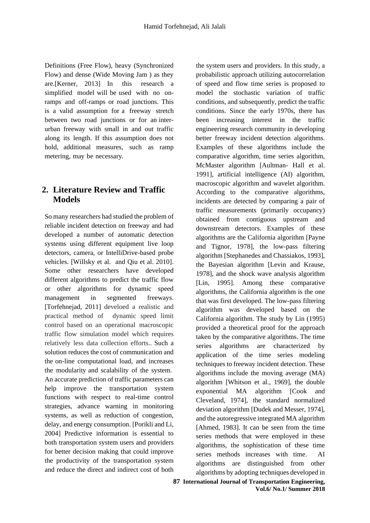Definitions (Free Flow), heavy (Synchronized Flow) and dense (Wide Moving Jam ) as they are.[Kerner, 2013] In this research a simplified model will be used with no onramps and off-ramps or road junctions. This is a valid assumption for a freeway stretch between two road junctions or for an interurban freeway with small in and out traffic along its length. If this assumption does not hold, additional measures, such as ramp metering, may be necessary.

# **2. Literature Review and Traffic Models**

So many researchers had studied the problem of reliable incident detection on freeway and had developed a number of automatic detection systems using different equipment live loop detectors, camera, or IntelliDrive-based probe vehicles. [Willsky et al. and Qiu et al. 2010]. Some other researchers have developed different algorithms to predict the traffic flow or other algorithms for dynamic speed management in segmented freeways. [Torfehnejad, 2011] develoed a realistic and practical method of dynamic speed limit control based on an operational macroscopic traffic flow simulation model which requires relatively less data collection efforts.. Such a solution reduces the cost of communication and the on-line computational load, and increases the modularity and scalability of the system. An accurate prediction of traffic parameters can help improve the transportation system functions with respect to real-time control strategies, advance warning in monitoring systems, as well as reduction of congestion, delay, and energy consumption. [Porikli and Li, 2004] Predictive information is essential to both transportation system users and providers for better decision making that could improve the productivity of the transportation system and reduce the direct and indirect cost of both

the system users and providers. In this study, a probabilistic approach utilizing autocorrelation of speed and flow time series is proposed to model the stochastic variation of traffic conditions, and subsequently, predict the traffic conditions. Since the early 1970s, there has been increasing interest in the traffic engineering research community in developing better freeway incident detection algorithms. Examples of these algorithms include the comparative algorithm, time series algorithm, McMaster algorithm [Aultman- Hall et al. 1991], artificial intelligence (AI) algorithm, macroscopic algorithm and wavelet algorithm. According to the comparative algorithms, incidents are detected by comparing a pair of traffic measurements (primarily occupancy) obtained from contiguous upstream and downstream detectors. Examples of these algorithms are the California algorithm [Payne and Tignor, 1978], the low-pass filtering algorithm [Stephanedes and Chassiakos, 1993], the Bayesian algorithm [Levin and Krause, 1978], and the shock wave analysis algorithm [Lin, 1995]. Among these comparative algorithms, the California algorithm is the one that was first developed. The low-pass filtering algorithm was developed based on the California algorithm. The study by Lin (1995) provided a theoretical proof for the approach taken by the comparative algorithms. The time series algorithms are characterized by application of the time series modeling techniques to freeway incident detection. These algorithms include the moving average (MA) algorithm [Whitson et al., 1969], the double exponential MA algorithm [Cook and Cleveland, 1974], the standard normalized deviation algorithm [Dudek and Messer, 1974], and the autoregressive integrated MA algorithm [Ahmed, 1983]. It can be seen from the time series methods that were employed in these algorithms, the sophistication of these time series methods increases with time. AI algorithms are distinguished from other algorithms by adopting techniques developed in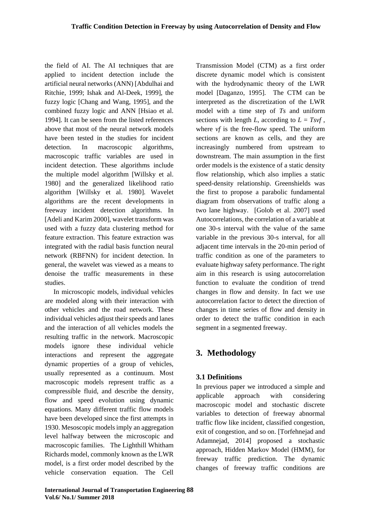the field of AI. The AI techniques that are applied to incident detection include the artificial neural networks (ANN) [Abdulhai and Ritchie, 1999; Ishak and Al-Deek, 1999], the fuzzy logic [Chang and Wang, 1995], and the combined fuzzy logic and ANN [Hsiao et al. 1994]. It can be seen from the listed references above that most of the neural network models have been tested in the studies for incident detection. In macroscopic algorithms, macroscopic traffic variables are used in incident detection. These algorithms include the multiple model algorithm [Willsky et al. 1980] and the generalized likelihood ratio algorithm [Willsky et al. 1980]. Wavelet algorithms are the recent developments in freeway incident detection algorithms. In [Adeli and Karim 2000], wavelet transform was used with a fuzzy data clustering method for feature extraction. This feature extraction was integrated with the radial basis function neural network (RBFNN) for incident detection. In general, the wavelet was viewed as a means to denoise the traffic measurements in these studies.

In microscopic models, individual vehicles are modeled along with their interaction with other vehicles and the road network. These individual vehicles adjust their speeds and lanes and the interaction of all vehicles models the resulting traffic in the network. Macroscopic models ignore these individual vehicle interactions and represent the aggregate dynamic properties of a group of vehicles, usually represented as a continuum. Most macroscopic models represent traffic as a compressible fluid, and describe the density, flow and speed evolution using dynamic equations. Many different traffic flow models have been developed since the first attempts in 1930. Mesoscopic models imply an aggregation level halfway between the microscopic and macroscopic families.The Lighthill Whitham Richards model, commonly known as the LWR model, is a first order model described by the vehicle conservation equation. The Cell Transmission Model (CTM) as a first order discrete dynamic model which is consistent with the hydrodynamic theory of the LWR model [Daganzo, 1995]. The CTM can be interpreted as the discretization of the LWR model with a time step of *Ts* and uniform sections with length *L*, according to  $L = Tsvf$ . where *vf* is the free-flow speed. The uniform sections are known as cells, and they are increasingly numbered from upstream to downstream. The main assumption in the first order models is the existence of a static density flow relationship, which also implies a static speed-density relationship. Greenshields was the first to propose a parabolic fundamental diagram from observations of traffic along a two lane highway.[Golob et al. 2007] used Autocorrelations, the correlation of a variable at one 30-s interval with the value of the same variable in the previous 30-s interval, for all adjacent time intervals in the 20-min period of traffic condition as one of the parameters to evaluate highway safety performance. The right aim in this research is using autocorrelation function to evaluate the condition of trend changes in flow and density. In fact we use autocorrelation factor to detect the direction of changes in time series of flow and density in order to detect the traffic condition in each segment in a segmented freeway.

# **3. Methodology**

## **3.1 Definitions**

In previous paper we introduced a simple and applicable approach with considering macroscopic model and stochastic discrete variables to detection of freeway abnormal traffic flow like incident, classified congestion, exit of congestion, and so on. [Torfehnejad and Adamnejad, 2014] proposed a stochastic approach, Hidden Markov Model (HMM), for freeway traffic prediction. The dynamic changes of freeway traffic conditions are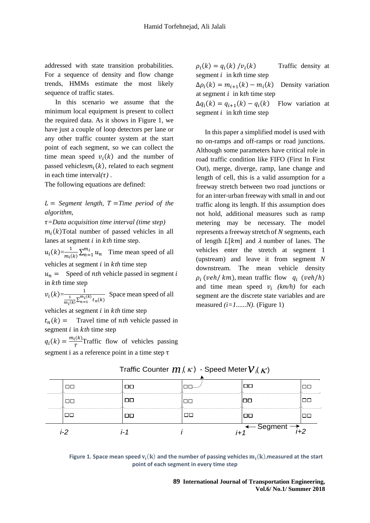addressed with state transition probabilities. For a sequence of density and flow change trends, HMMs estimate the most likely sequence of traffic states.

In this scenario we assume that the minimum local equipment is present to collect the required data. As it shows in Figure 1, we have just a couple of loop detectors per lane or any other traffic counter system at the start point of each segment, so we can collect the time mean speed  $v_i(k)$  and the number of passed vehicles $m_i(k)$ , related to each segment in each time interval $(\tau)$ .

The following equations are defined:

 $L =$  Segment length,  $T =$ Time period of the *algorithm,*

*=Data acquisition time interval (time step)*  $m<sub>i</sub>(k)$ Total number of passed vehicles in all lanes at segment *i* in *kth* time step.

 $u_i(k) = \frac{1}{m}$  $\frac{1}{m_i(k)} \sum_{n=1}^{m_i} u_n$  Time mean speed of all vehicles at segment *i* in *kth* time step

 $u_n =$  Speed of *nth* vehicle passed in segment *i* in *kth* time step

$$
v_i(k) = \frac{1}{\frac{1}{m_i(k)} \sum_{n=1}^{m_i(k)} t_n(k)}
$$
 Space mean speed of all

vehicles at segment *i* in *kth* time step

 $t_n(k)$  = Travel time of *nth* vehicle passed in segment *i* in *kth* time step

 $q_i(k) = \frac{m_i(k)}{r}$  $\frac{f(x)}{T}$ Traffic flow of vehicles passing segment i as a reference point in a time step τ

 $\rho_i(k) = q_i(k) / v_i$ Traffic density at segment  $i$  in kth time step  $\Delta \rho_i(k) = m_{i+1}(k) - m_i(k)$  Density variation at segment  $i$  in  $kth$  time step  $\Delta q_i(k) = q_{i+1}(k) - q_i$ () Flow variation at segment  $i$  in kth time step

In this paper a simplified model is used with no on-ramps and off-ramps or road junctions. Although some parameters have critical role in road traffic condition like FIFO (First In First Out), merge, diverge, ramp, lane change and length of cell, this is a valid assumption for a freeway stretch between two road junctions or for an inter-urban freeway with small in and out traffic along its length. If this assumption does not hold, additional measures such as ramp metering may be necessary. The model represents a freeway stretch of  $N$  segments, each of length  $L[km]$  and  $\lambda$  number of lanes. The vehicles enter the stretch at segment 1 (upstream) and leave it from segment *N*  downstream. The mean vehicle density  $\rho_i$  (veh/km), mean traffic flow  $q_i$  (veh/h) and time mean speed  $v_i$  (km/h) for each segment are the discrete state variables and are measured *(i=1......N).* (Figure 1)

| 00     | □□ |       | 00                                   | ПΓ |
|--------|----|-------|--------------------------------------|----|
| 00     | コロ | ᄆ     | $\Box$                               | ПΓ |
| $\Box$ | □□ | 00    | $\Box$                               | ПC |
| i-2    |    | $i+1$ | $\overline{A}$ Segment $\rightarrow$ |    |

#### Traffic Counter  $m$  (  $\kappa$  )  $\,$  - Speed Meter  ${\cal V}$  (  $\kappa$  )  $K$ )

Figure 1. Space mean speed  $v_i(k)$  and the number of passing vehicles  $m_i(k)$ ,measured at the start **point of each segment in every time step**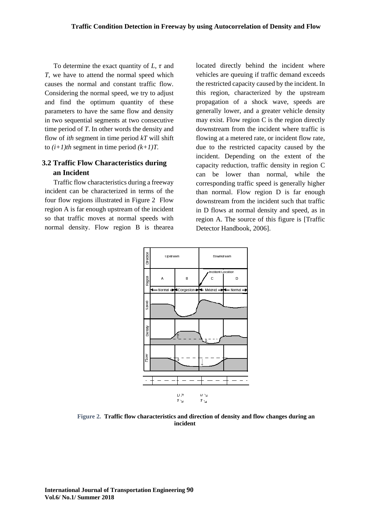To determine the exact quantity of  $L$ ,  $\tau$  and *T,* we have to attend the normal speed which causes the normal and constant traffic flow. Considering the normal speed, we try to adjust and find the optimum quantity of these parameters to have the same flow and density in two sequential segments at two consecutive time period of *T*. In other words the density and flow of *ith* segment in time period *kT* will shift to  $(i+1)$ th segment in time period  $(k+1)T$ .

## **3.2 Traffic Flow Characteristics during an Incident**

Traffic flow characteristics during a freeway incident can be characterized in terms of the four flow regions illustrated in Figure 2 Flow region A is far enough upstream of the incident so that traffic moves at normal speeds with normal density. Flow region B is thearea

located directly behind the incident where vehicles are queuing if traffic demand exceeds the restricted capacity caused by the incident. In this region, characterized by the upstream propagation of a shock wave, speeds are generally lower, and a greater vehicle density may exist. Flow region C is the region directly downstream from the incident where traffic is flowing at a metered rate, or incident flow rate, due to the restricted capacity caused by the incident. Depending on the extent of the capacity reduction, traffic density in region C can be lower than normal, while the corresponding traffic speed is generally higher than normal. Flow region D is far enough downstream from the incident such that traffic in D flows at normal density and speed, as in region A. The source of this figure is [Traffic Detector Handbook, 2006].



**Figure 2. Traffic flow characteristics and direction of density and flow changes during an incident**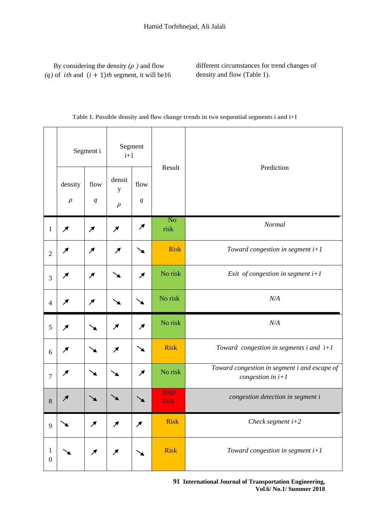|  | By considering the density $(\rho)$ and flow             |
|--|----------------------------------------------------------|
|  | (q) of <i>ith</i> and $(i + 1)$ th segment, it will be16 |

different circumstances for trend changes of density and flow (Table 1).

#### **Table 1. Possible density and flow change trends in two sequential segments i and i+1**

|                       |                        | Segment i              | Segment<br>$i+1$           |                          |                        |                                                                     |  |  |  |  |
|-----------------------|------------------------|------------------------|----------------------------|--------------------------|------------------------|---------------------------------------------------------------------|--|--|--|--|
|                       | density<br>$\rho$      | flow<br>q              | densit<br>y<br>$\rho$      | flow<br>q                | Result                 | Prediction                                                          |  |  |  |  |
| $\mathbf{1}$          | $\boldsymbol{\lambda}$ | $\boldsymbol{\lambda}$ | $\boldsymbol{\mathcal{A}}$ | ↗                        | N <sub>o</sub><br>risk | Normal                                                              |  |  |  |  |
| $\sqrt{2}$            | ↗                      | ↗                      | ↗                          |                          | <b>Risk</b>            | Toward congestion in segment $i+1$                                  |  |  |  |  |
| $\mathfrak{Z}$        | ↗                      | ↗                      |                            | ↗                        | No risk                | Exit of congestion in segment $i+1$                                 |  |  |  |  |
| $\overline{4}$        | ↗                      | ↗                      |                            |                          | No risk                | N/A                                                                 |  |  |  |  |
| 5                     | ↗                      |                        | ↗                          | $\overline{\mathcal{F}}$ | No risk                | N/A                                                                 |  |  |  |  |
| $\sqrt{6}$            | ↗                      |                        | ↗                          |                          | <b>Risk</b>            | Toward congestion in segments $i$ and $i+1$                         |  |  |  |  |
| $\boldsymbol{7}$      | ↗                      |                        |                            | ↗                        | No risk                | Toward congestion in segment i and escape of<br>congestion in $i+1$ |  |  |  |  |
| $8\,$                 |                        |                        |                            |                          | High<br><b>Risk</b>    | congestion detection in segment i                                   |  |  |  |  |
| 9                     |                        | $\boldsymbol{\lambda}$ | ↗                          | $\boldsymbol{\lambda}$   | <b>Risk</b>            | Check segment $i+2$                                                 |  |  |  |  |
| 1<br>$\boldsymbol{0}$ |                        | $\boldsymbol{\lambda}$ | $\boldsymbol{\lambda}$     |                          | <b>Risk</b>            | Toward congestion in segment $i+1$                                  |  |  |  |  |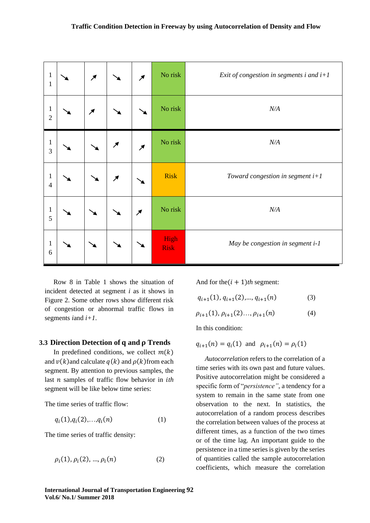| $\mathbf{1}$<br>$\,1$          | $\overline{\mathcal{M}}$ |                            | $\overline{\mathcal{M}}$   | No risk             | Exit of congestion in segments $i$ and $i+1$ |
|--------------------------------|--------------------------|----------------------------|----------------------------|---------------------|----------------------------------------------|
| $\mathbf{1}$<br>$\overline{2}$ | $\overline{\mathcal{M}}$ |                            |                            | No risk             | N/A                                          |
| $\mathbf{1}$<br>3              |                          | $\boldsymbol{\mathcal{F}}$ | $\boldsymbol{\mathcal{F}}$ | No risk             | N/A                                          |
| $\,1$<br>$\overline{4}$        |                          | $\boldsymbol{\mathcal{F}}$ |                            | <b>Risk</b>         | Toward congestion in segment $i+1$           |
| $\mathbf 1$<br>5               |                          |                            | $\boldsymbol{\lambda}$     | No risk             | N/A                                          |
| $\mathbf 1$<br>6               |                          |                            |                            | High<br><b>Risk</b> | May be congestion in segment i-1             |

Row 8 in Table 1 shows the situation of incident detected at segment *i* as it shows in Figure 2. Some other rows show different risk of congestion or abnormal traffic flows in segments *i*and *i+1*.

#### **3.3 Direction Detection of and Trends**

In predefined conditions, we collect  $m(k)$ and  $v(k)$  and calculate  $q(k)$  and  $\rho(k)$  from each segment. By attention to previous samples, the last *n* samples of traffic flow behavior in *ith* segment will be like below time series:

The time series of traffic flow:

$$
q_i(1), q_i(2), \ldots, q_i(n) \tag{1}
$$

The time series of traffic density:

$$
\rho_i(1), \rho_i(2), ..., \rho_i(n) \tag{2}
$$

And for the $(i + 1)$ th segment:

 $q_{i+1}(1), q_{i+1}(2), \dots, q_{i+1}(n)$  (3)

$$
\rho_{i+1}(1), \rho_{i+1}(2) \dots, \rho_{i+1}(n) \tag{4}
$$

In this condition:

$$
q_{i+1}(n) = q_i(1)
$$
 and  $\rho_{i+1}(n) = \rho_i(1)$ 

*Autocorrelation* refers to the correlation of a time series with its own past and future values. Positive autocorrelation might be considered a specific form of "*persistence"*, a tendency for a system to remain in the same state from one observation to the next. In [statistics,](http://en.wikipedia.org/wiki/Statistics) the autocorrelation of a [random process](http://en.wikipedia.org/wiki/Random_process) describes the correlation between values of the process at different times, as a function of the two times or of the time lag. An important guide to the persistence in a time series is given by the series of quantities called the sample autocorrelation coefficients, which measure the correlation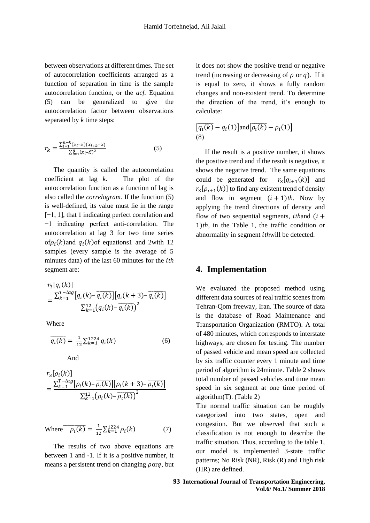between observations at different times. The set of autocorrelation coefficients arranged as a function of separation in time is the sample autocorrelation function, or the *acf.* Equation (5) can be generalized to give the autocorrelation factor between observations separated by *k* time steps:

$$
r_k = \frac{\sum_{i=1}^{n-k} (x_i - \bar{x})(x_{i+k} - \bar{x})}{\sum_{i=1}^{n} (x_i - \bar{x})^2}
$$
(5)

The quantity is called the autocorrelation coefficient at lag *k*. The plot of the autocorrelation function as a function of lag is also called the *correlogram.* If the function (5) is well-defined, its value must lie in the range [−1, 1], that 1 indicating perfect correlation and −1 indicating perfect [anti-correlation.](http://en.wikipedia.org/wiki/Negative_relationship) The autocorrelation at lag 3 for two time series of $\rho_i(k)$  and  $q_i(k)$  of equations1 and 2 with 12 samples (every sample is the average of 5 minutes data) of the last 60 minutes for the *th* segment are:

$$
r_3[q_i(k)]
$$
  
= 
$$
\frac{\sum_{k=1}^{T-\log[q_i(k) - \overline{q_i(k)}][q_i(k+3) - \overline{q_i(k)}]}{\sum_{k=1}^{12}(q_i(k) - \overline{q_i(k)})^2}
$$

Where

$$
\overline{q_i(k)} = \frac{1}{12} \sum_{k=1}^{1224} q_i(k) \tag{6}
$$

And

$$
r_3[\rho_i(k)] = \frac{\sum_{k=1}^{T-\log} [\rho_i(k) - \overline{\rho_i(k)}] [\rho_i(k+3) - \overline{\rho_i(k)}]}{\sum_{k=1}^{12} (\rho_i(k) - \overline{\rho_i(k)})^2}
$$

Where 
$$
\overline{\rho_i(k)} = \frac{1}{12} \sum_{k=1}^{1224} \rho_i(k)
$$
 (7)

The results of two above equations are between 1 and -1. If it is a positive number, it means a persistent trend on changing  $\rho$ orq, but it does not show the positive trend or negative trend (increasing or decreasing of  $\rho$  or  $q$ ). If it is equal to zero, it shows a fully random changes and non-existent trend. To determine the direction of the trend, it's enough to calculate:

$$
[q_i(k) - q_i(1)] \text{and} [p_i(k) - p_i(1)]
$$
  
(8)

If the result is a positive number, it shows the positive trend and if the result is negative, it shows the negative trend. The same equations could be generated for  $[q_{i+1}(k)]$  and  $r_3[\rho_{i+1}(k)]$  to find any existent trend of density and flow in segment  $(i + 1)$ th. Now by applying the trend directions of density and flow of two sequential segments, *ithand*  $(i +$ 1)*th*, in the Table 1, the traffic condition or abnormality in segment *th*will be detected.

### **4. Implementation**

We evaluated the proposed method using different data sources of real traffic scenes from Tehran-Qom freeway, Iran. The source of data is the database of Road Maintenance and Transportation Organization (RMTO). A total of 480 minutes, which corresponds to interstate highways, are chosen for testing. The number of passed vehicle and mean speed are collected by six traffic counter every 1 minute and time period of algorithm is 24minute. Table 2 shows total number of passed vehicles and time mean speed in six segment at one time period of algorithm(T). (Table 2)

The normal traffic situation can be roughly categorized into two states, open and congestion. But we observed that such a classification is not enough to describe the traffic situation. Thus, according to the table 1, our model is implemented 3-state traffic patterns; No Risk (NR), Risk (R) and High risk (HR) are defined.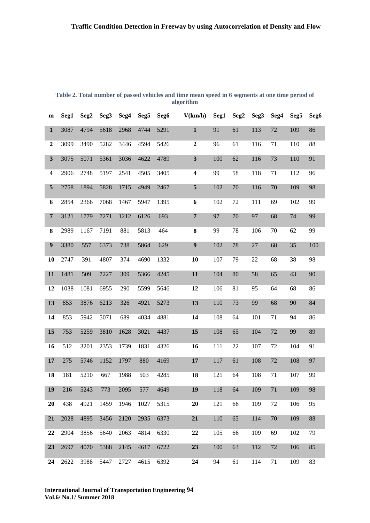| $\mathbf{m}$            | Seg1 | Seg <sub>2</sub> | Seg3 | Seg4 | Seg5 | Seg6 | V(km/h)          | Seg1 | Seg <sub>2</sub> | Seg3   | Seg4 | Seg5 | Seg6 |
|-------------------------|------|------------------|------|------|------|------|------------------|------|------------------|--------|------|------|------|
|                         |      |                  |      |      |      |      |                  |      |                  |        |      |      |      |
| $\mathbf{1}$            | 3087 | 4794             | 5618 | 2968 | 4744 | 5291 | $\mathbf{1}$     | 91   | 61               | 113    | 72   | 109  | 86   |
| $\boldsymbol{2}$        | 3099 | 3490             | 5282 | 3446 | 4594 | 5426 | $\boldsymbol{2}$ | 96   | 61               | 116    | 71   | 110  | 88   |
| $\mathbf{3}$            | 3075 | 5071             | 5361 | 3036 | 4622 | 4789 | $\mathbf{3}$     | 100  | 62               | 116    | 73   | 110  | 91   |
| $\overline{\mathbf{4}}$ | 2906 | 2748             | 5197 | 2541 | 4505 | 3405 | 4                | 99   | 58               | 118    | 71   | 112  | 96   |
| 5                       | 2758 | 1894             | 5828 | 1715 | 4949 | 2467 | ${\bf 5}$        | 102  | 70               | 116    | 70   | 109  | 98   |
| 6                       | 2854 | 2366             | 7068 | 1467 | 5947 | 1395 | 6                | 102  | 72               | 111    | 69   | 102  | 99   |
| $\overline{\mathbf{7}}$ | 3121 | 1779             | 7271 | 1212 | 6126 | 693  | $\overline{7}$   | 97   | 70               | 97     | 68   | 74   | 99   |
| ${\bf 8}$               | 2989 | 1167             | 7191 | 881  | 5813 | 464  | 8                | 99   | 78               | 106    | 70   | 62   | 99   |
| $\boldsymbol{9}$        | 3380 | 557              | 6373 | 738  | 5864 | 629  | $\boldsymbol{9}$ | 102  | 78               | $27\,$ | 68   | 35   | 100  |
| 10                      | 2747 | 391              | 4807 | 374  | 4690 | 1332 | 10               | 107  | 79               | 22     | 68   | 38   | 98   |
| 11                      | 1481 | 509              | 7227 | 309  | 5366 | 4245 | 11               | 104  | 80               | 58     | 65   | 43   | 90   |
| 12                      | 1038 | 1081             | 6955 | 290  | 5599 | 5646 | 12               | 106  | 81               | 95     | 64   | 68   | 86   |
| 13                      | 853  | 3876             | 6213 | 326  | 4921 | 5273 | 13               | 110  | 73               | 99     | 68   | 90   | 84   |
| 14                      | 853  | 5942             | 5071 | 689  | 4034 | 4881 | 14               | 108  | 64               | 101    | 71   | 94   | 86   |
| 15                      | 753  | 5259             | 3810 | 1628 | 3021 | 4437 | 15               | 108  | 65               | 104    | 72   | 99   | 89   |
| 16                      | 512  | 3201             | 2353 | 1739 | 1831 | 4326 | 16               | 111  | 22               | 107    | 72   | 104  | 91   |
| 17                      | 275  | 5746             | 1152 | 1797 | 880  | 4169 | 17               | 117  | 61               | 108    | 72   | 108  | 97   |
| 18                      | 181  | 5210             | 667  | 1988 | 503  | 4285 | 18               | 121  | 64               | 108    | 71   | 107  | 99   |
| 19                      | 216  | 5243             | 773  | 2095 | 577  | 4649 | 19               | 118  | 64               | 109    | 71   | 109  | 98   |
| 20                      | 438  | 4921             | 1459 | 1946 | 1027 | 5315 | 20               | 121  | 66               | 109    | 72   | 106  | 95   |
| 21                      | 2028 | 4895             | 3456 | 2120 | 2935 | 6373 | 21               | 110  | 65               | 114    | 70   | 109  | 88   |
| 22                      | 2904 | 3856             | 5640 | 2063 | 4814 | 6330 | 22               | 105  | 66               | 109    | 69   | 102  | 79   |
| 23                      | 2697 | 4070             | 5388 | 2145 | 4617 | 6722 | 23               | 100  | 63               | 112    | 72   | 106  | 85   |
| 24                      | 2622 | 3988             | 5447 | 2727 | 4615 | 6392 | 24               | 94   | 61               | 114    | 71   | 109  | 83   |

**Table 2. Total number of passed vehicles and time mean speed in 6 segments at one time period of algorithm**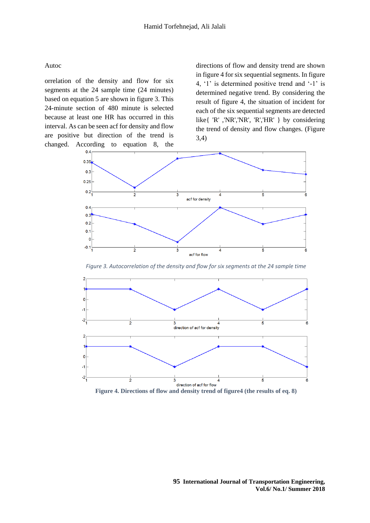#### Autoc

orrelation of the density and flow for six segments at the 24 sample time (24 minutes) based on equation 5 are shown in figure 3. This 24-minute section of 480 minute is selected because at least one HR has occurred in this interval. As can be seen acf for density and flow are positive but direction of the trend is changed. According to equation 8, the

directions of flow and density trend are shown in figure 4 for six sequential segments. In figure 4, '1' is determined positive trend and '-1' is determined negative trend. By considering the result of figure 4, the situation of incident for each of the six sequential segments are detected like{ 'R' ,'NR','NR', 'R','HR' } by considering the trend of density and flow changes. (Figure 3,4)



*Figure 3. Autocorrelation of the density and flow for six segments at the 24 sample time*



**Figure 4. Directions of flow and density trend of figure4 (the results of eq. 8)**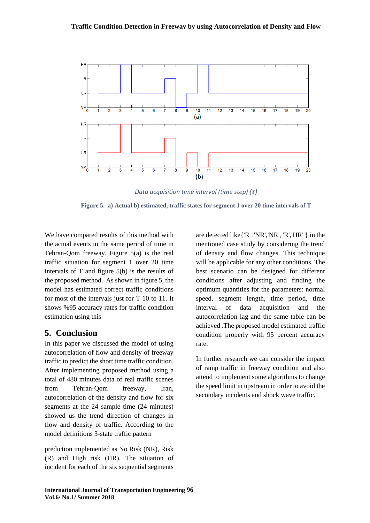

*Data acquisition time interval (time step)*  $(\tau)$ 

**Figure 5. a) Actual b) estimated, traffic states for segment 1 over 20 time intervals of T** 

We have compared results of this method with the actual events in the same period of time in Tehran-Qom freeway. Figure 5(a) is the real traffic situation for segment 1 over 20 time intervals of T and figure 5(b) is the results of the proposed method. As shown in figure 5, the model has estimated correct traffic conditions for most of the intervals just for T 10 to 11. It shows %95 accuracy rates for traffic condition estimation using this

## **5. Conclusion**

In this paper we discussed the model of using autocorrelation of flow and density of freeway traffic to predict the short time traffic condition. After implementing proposed method using a total of 480 minutes data of real traffic scenes from Tehran-Qom freeway, Iran, autocorrelation of the density and flow for six segments at the 24 sample time (24 minutes) showed us the trend direction of changes in flow and density of traffic. According to the model definitions 3-state traffic pattern

prediction implemented as No Risk (NR), Risk (R) and High risk (HR). The situation of incident for each of the six sequential segments

are detected like{'R' ,'NR','NR', 'R','HR' } in the mentioned case study by considering the trend of density and flow changes. This technique will be applicable for any other conditions. The best scenario can be designed for different conditions after adjusting and finding the optimum quantities for the parameters: normal speed, segment length, time period, time interval of data acquisition and the autocorrelation lag and the same table can be achieved .The proposed model estimated traffic condition properly with 95 percent accuracy rate.

In further research we can consider the impact of ramp traffic in freeway condition and also attend to implement some algorithms to change the speed limit in upstream in order to avoid the secondary incidents and shock wave traffic.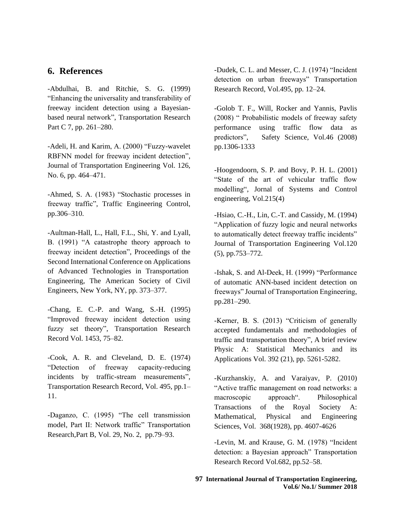### **6. References**

-Abdulhai, B. and Ritchie, S. G. (1999) "Enhancing the universality and transferability of freeway incident detection using a Bayesianbased neural network", Transportation Research Part C 7, pp. 261–280.

-Adeli, H. and Karim, A. (2000) "Fuzzy-wavelet RBFNN model for freeway incident detection", Journal of Transportation Engineering Vol. 126, No. 6, pp. 464–471.

-Ahmed, S. A. (1983) "Stochastic processes in freeway traffic", Traffic Engineering Control, pp.306–310.

-Aultman-Hall, L., Hall, F.L., Shi, Y. and Lyall, B. (1991) "A catastrophe theory approach to freeway incident detection", Proceedings of the Second International Conference on Applications of Advanced Technologies in Transportation Engineering, The American Society of Civil Engineers, New York, NY, pp. 373–377.

-Chang, E. C.-P. and Wang, S.-H. (1995) "Improved freeway incident detection using fuzzy set theory", Transportation Research Record Vol. 1453, 75–82.

-Cook, A. R. and Cleveland, D. E. (1974) "Detection of freeway capacity-reducing incidents by traffic-stream measurements", Transportation Research Record, Vol. 495, pp.1– 11.

-Daganzo, C. (1995) "The cell transmission model, Part II: Network traffic" Transportation Research,Part B, Vol. 29, No. 2, pp.79–93.

-Dudek, C. L. and Messer, C. J. (1974) "Incident detection on urban freeways" Transportation Research Record, Vol.495, pp. 12–24.

-Golob T. F., Will, Rocker and Yannis, Pavlis (2008) " Probabilistic models of freeway safety performance using traffic flow data as predictors", Safety Science, Vol.46 (2008) pp.1306-1333

-Hoogendoorn, S. P. and Bovy, P. H. L. (2001) "State of the art of vehicular traffic flow modelling", Jornal of Systems and Control engineering, Vol.215(4)

-Hsiao, C.-H., Lin, C.-T. and Cassidy, M. (1994) "Application of fuzzy logic and neural networks to automatically detect freeway traffic incidents" Journal of Transportation Engineering Vol.120 (5), pp.753–772.

-Ishak, S. and Al-Deek, H. (1999) "Performance of automatic ANN-based incident detection on freeways" Journal of Transportation Engineering, pp.281–290.

-Kerner, B. S. (2013) "Criticism of generally accepted fundamentals and methodologies of traffic and transportation theory", A brief review Physic A: Statistical Mechanics and its Applications Vol. 392 (21), pp. 5261-5282.

-Kurzhanskiy, A. and Varaiyav, P. (2010) "Active traffic management on road networks: a macroscopic approach". Philosophical Transactions of the Royal Society A: Mathematical, Physical and Engineering Sciences, Vol. 368(1928), pp. 4607-4626

-Levin, M. and Krause, G. M. (1978) "Incident detection: a Bayesian approach" Transportation Research Record Vol.682, pp.52–58.